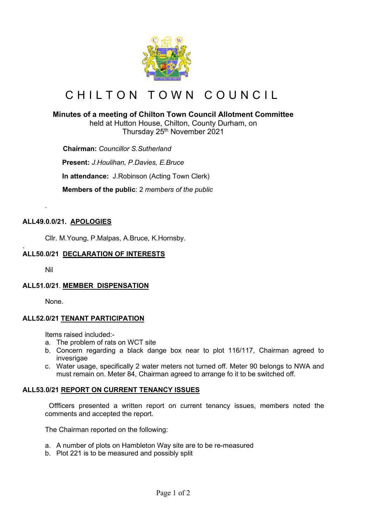

# CHILTON TOWN COUNCIL

## **Minutes of a meeting of Chilton Town Council Allotment Committee**

held at Hutton House, Chilton, County Durham, on Thursday 25<sup>th</sup> November 2021

 **Chairman:** *Councillor S.Sutherland*

**Present:** *J.Houlihan, P.Davies, E.Bruce*

**In attendance:** J.Robinson (Acting Town Clerk)

 **Members of the public**: 2 *members of the public*

## **ALL49.0.0/21. APOLOGIES**

Cllr. M.Young, P.Malpas, A.Bruce, K.Hornsby.

#### . **ALL50.0/21 DECLARATION OF INTERESTS**

Nil

*.*

## **ALL51.0/21**. **MEMBER DISPENSATION**

None.

## **ALL52.0/21 TENANT PARTICIPATION**

Items raised included:-

- a. The problem of rats on WCT site
- b. Concern regarding a black dange box near to plot 116/117, Chairman agreed to invesrigae
- c. Water usage, specifically 2 water meters not turned off. Meter 90 belongs to NWA and must remain on. Meter 84, Chairman agreed to arrange fo it to be switched off.

## **ALL53.0/21 REPORT ON CURRENT TENANCY ISSUES**

 Offficers presented a written report on current tenancy issues, members noted the comments and accepted the report.

The Chairman reported on the following:

- a. A number of plots on Hambleton Way site are to be re-measured
- b. Plot 221 is to be measured and possibly split